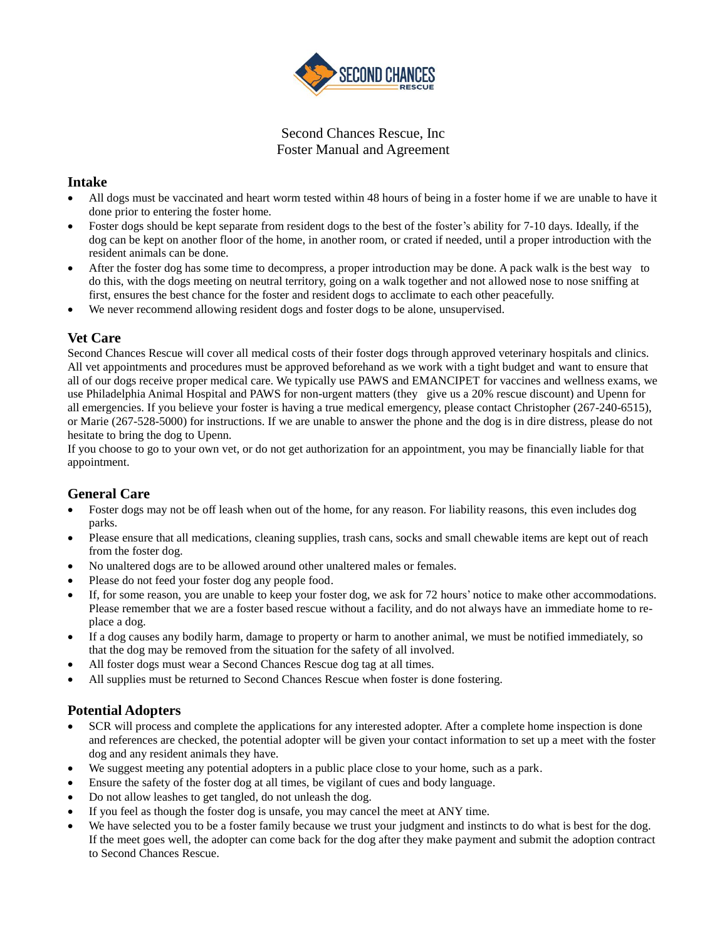

Second Chances Rescue, Inc Foster Manual and Agreement

# **Intake**

- All dogs must be vaccinated and heart worm tested within 48 hours of being in a foster home if we are unable to have it done prior to entering the foster home.
- Foster dogs should be kept separate from resident dogs to the best of the foster's ability for 7-10 days. Ideally, if the dog can be kept on another floor of the home, in another room, or crated if needed, until a proper introduction with the resident animals can be done.
- After the foster dog has some time to decompress, a proper introduction may be done. A pack walk is the best way to do this, with the dogs meeting on neutral territory, going on a walk together and not allowed nose to nose sniffing at first, ensures the best chance for the foster and resident dogs to acclimate to each other peacefully.
- We never recommend allowing resident dogs and foster dogs to be alone, unsupervised.

# **Vet Care**

Second Chances Rescue will cover all medical costs of their foster dogs through approved veterinary hospitals and clinics. All vet appointments and procedures must be approved beforehand as we work with a tight budget and want to ensure that all of our dogs receive proper medical care. We typically use PAWS and EMANCIPET for vaccines and wellness exams, we use Philadelphia Animal Hospital and PAWS for non-urgent matters (they give us a 20% rescue discount) and Upenn for all emergencies. If you believe your foster is having a true medical emergency, please contact Christopher (267-240-6515), or Marie (267-528-5000) for instructions. If we are unable to answer the phone and the dog is in dire distress, please do not hesitate to bring the dog to Upenn.

If you choose to go to your own vet, or do not get authorization for an appointment, you may be financially liable for that appointment.

## **General Care**

- Foster dogs may not be off leash when out of the home, for any reason. For liability reasons, this even includes dog parks.
- Please ensure that all medications, cleaning supplies, trash cans, socks and small chewable items are kept out of reach from the foster dog.
- No unaltered dogs are to be allowed around other unaltered males or females.
- Please do not feed your foster dog any people food.
- If, for some reason, you are unable to keep your foster dog, we ask for 72 hours' notice to make other accommodations. Please remember that we are a foster based rescue without a facility, and do not always have an immediate home to replace a dog.
- If a dog causes any bodily harm, damage to property or harm to another animal, we must be notified immediately, so that the dog may be removed from the situation for the safety of all involved.
- All foster dogs must wear a Second Chances Rescue dog tag at all times.
- All supplies must be returned to Second Chances Rescue when foster is done fostering.

## **Potential Adopters**

- SCR will process and complete the applications for any interested adopter. After a complete home inspection is done and references are checked, the potential adopter will be given your contact information to set up a meet with the foster dog and any resident animals they have.
- We suggest meeting any potential adopters in a public place close to your home, such as a park.
- Ensure the safety of the foster dog at all times, be vigilant of cues and body language.
- Do not allow leashes to get tangled, do not unleash the dog.
- If you feel as though the foster dog is unsafe, you may cancel the meet at ANY time.
- We have selected you to be a foster family because we trust your judgment and instincts to do what is best for the dog. If the meet goes well, the adopter can come back for the dog after they make payment and submit the adoption contract to Second Chances Rescue.